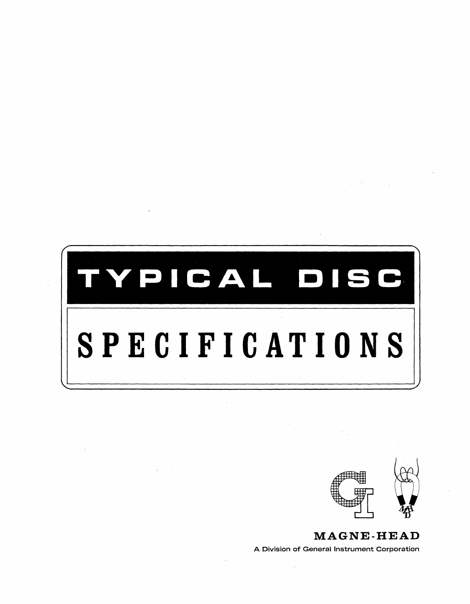



**MAGNE-HEAD**  A Division of General Instrument Corporation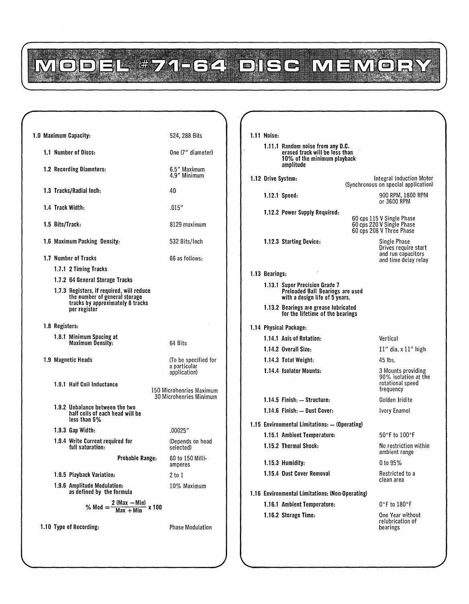MODEL #71-64 DISC MEMORY

|  |                 | 1.0 Maximum Capacity:                                                                                                          |                              | 524, 288 Bits                                        |  |  |  |
|--|-----------------|--------------------------------------------------------------------------------------------------------------------------------|------------------------------|------------------------------------------------------|--|--|--|
|  |                 | 1.1 Number of Discs:                                                                                                           |                              | One (7" diameter)                                    |  |  |  |
|  |                 | 1.2 Recording Diameters:                                                                                                       | 6.5" Maximum<br>4.9" Minimum |                                                      |  |  |  |
|  |                 | 1.3 Tracks/Radial Inch:                                                                                                        |                              | 40                                                   |  |  |  |
|  |                 | 1.4 Track Width:                                                                                                               |                              | .015″                                                |  |  |  |
|  | 1.5 Bits/Track: |                                                                                                                                |                              | 8129 maximum                                         |  |  |  |
|  |                 | 1.6 Maximum Packing Density:                                                                                                   |                              | 532 Bits/Inch                                        |  |  |  |
|  |                 | 1.7 Number of Tracks                                                                                                           |                              | 66 as follows:                                       |  |  |  |
|  |                 | 1.7.1 2 Timing Tracks                                                                                                          |                              |                                                      |  |  |  |
|  |                 | 1.7.2 64 General Storage Tracks                                                                                                |                              |                                                      |  |  |  |
|  |                 | 1.7.3 Registers, if required, will reduce<br>the number of general storage<br>tracks by approximately 8 tracks<br>per register |                              |                                                      |  |  |  |
|  | 1.8 Registers:  |                                                                                                                                |                              |                                                      |  |  |  |
|  |                 | 1.8.1 Minimum Spacing at<br>Maximum Density:                                                                                   |                              | 64 Bits                                              |  |  |  |
|  |                 | 1.9 Magnetic Heads                                                                                                             |                              | (To be specified for<br>a particular<br>application) |  |  |  |
|  |                 | 1.9.1 Half Coil Inductance                                                                                                     |                              | 150 Microhenries Maximum<br>30 Microhenries Minimum  |  |  |  |
|  |                 | 1.9.2 Unbalance between the two<br>half coils of each head will be<br>less than 5%                                             |                              |                                                      |  |  |  |
|  |                 | 1.9.3 Gap Width:                                                                                                               |                              | .00025″                                              |  |  |  |
|  |                 | 1.9.4 Write Current required for<br>full saturation:                                                                           |                              | (Depends on head<br>selected)                        |  |  |  |
|  |                 | Probable Range:                                                                                                                |                              | 60 to 150 Milli-<br>amperes                          |  |  |  |
|  |                 | 1.9.5 Playback Variation:                                                                                                      |                              | 2 to 1                                               |  |  |  |
|  |                 | 1.9.6 Amplitude Modulation:<br>as defined by the formula                                                                       |                              | 10% Maximum                                          |  |  |  |
|  |                 | % Mod = $\frac{2 \text{ (Max } - \text{Min})}{\text{Max } + \text{Min}}$ x 100                                                 |                              |                                                      |  |  |  |
|  |                 | 1.10 Type of Recording:                                                                                                        |                              | <b>Phase Modulation</b>                              |  |  |  |

| <b>1.11 Noise:</b> |                                                                                                                 |                                                                                    |                                                                                    |  |  |  |
|--------------------|-----------------------------------------------------------------------------------------------------------------|------------------------------------------------------------------------------------|------------------------------------------------------------------------------------|--|--|--|
|                    | 1.11.1 Random noise from any D.C.<br>erased track will be less than<br>10% of the minimum playback<br>amplitude |                                                                                    |                                                                                    |  |  |  |
| 1.12 Drive System: |                                                                                                                 | Integral Induction Motor<br>(Synchronous on special application)                   |                                                                                    |  |  |  |
|                    | $1.12.1$ Speed:                                                                                                 |                                                                                    | 900 RPM, 1800 RPM<br>or 3600 RPM                                                   |  |  |  |
|                    | 1.12.2 Power Supply Required:                                                                                   | 60 cps 115 V Single Phase<br>60 cps 220 V Single Phase<br>60 cps 208 V Three Phase |                                                                                    |  |  |  |
|                    | 1.12.3 Starting Device:                                                                                         |                                                                                    | Single Phase<br>Drives require start<br>and run capacitors<br>and time delay relay |  |  |  |
| 1.13 Bearings:     |                                                                                                                 |                                                                                    |                                                                                    |  |  |  |
|                    | 1.13.1 Super Precision Grade 7<br>Preloaded Ball Bearings are used<br>with a design life of 5 years.            |                                                                                    |                                                                                    |  |  |  |
|                    | 1.13.2 Bearings are grease lubricated<br>for the lifetime of the bearings                                       |                                                                                    |                                                                                    |  |  |  |
|                    | 1.14 Physical Package:                                                                                          |                                                                                    |                                                                                    |  |  |  |
|                    | 1.14.1 Axis of Rotation:                                                                                        |                                                                                    | Vertical                                                                           |  |  |  |
|                    | 1.14.2 Overall Size:                                                                                            |                                                                                    | $11''$ dia. x $11''$ high                                                          |  |  |  |
|                    | 1.14.3 Total Weight:                                                                                            |                                                                                    | 45 lbs.                                                                            |  |  |  |
|                    | 1.14.4 Isolator Mounts:                                                                                         |                                                                                    | 3 Mounts providing<br>90% isolation at the<br>rotational speed<br>frequency        |  |  |  |
|                    | 1.14.5 Finish: - Structure:                                                                                     |                                                                                    | Golden Iridite                                                                     |  |  |  |
|                    | 1.14.6 Finish: - Dust Cover:                                                                                    |                                                                                    | Ivory Enamel                                                                       |  |  |  |
|                    | 1.15 Environmental Limitations: - (Operating)                                                                   |                                                                                    |                                                                                    |  |  |  |
|                    | 1.15.1 Ambient Temperature:                                                                                     |                                                                                    | 50°F to 100°F                                                                      |  |  |  |
|                    | 1.15.2 Thermal Shock:                                                                                           |                                                                                    | No restriction within<br>ambient range                                             |  |  |  |
|                    | 1.15.3 Humidity.                                                                                                |                                                                                    | 0 to 95%                                                                           |  |  |  |
|                    | 1.15.4 Dust Cover Removal                                                                                       |                                                                                    | Restricted to a<br>clean area                                                      |  |  |  |
|                    | 1.16 Environmental Limitations: (Non-Operating)                                                                 |                                                                                    |                                                                                    |  |  |  |
|                    | 1.16.1 Ambient Temperature:                                                                                     |                                                                                    | $0°$ F to 180°F                                                                    |  |  |  |
|                    | 1.16.2 Storage Time:                                                                                            |                                                                                    | One Year without<br>relubrication of<br>bearings                                   |  |  |  |
|                    |                                                                                                                 |                                                                                    |                                                                                    |  |  |  |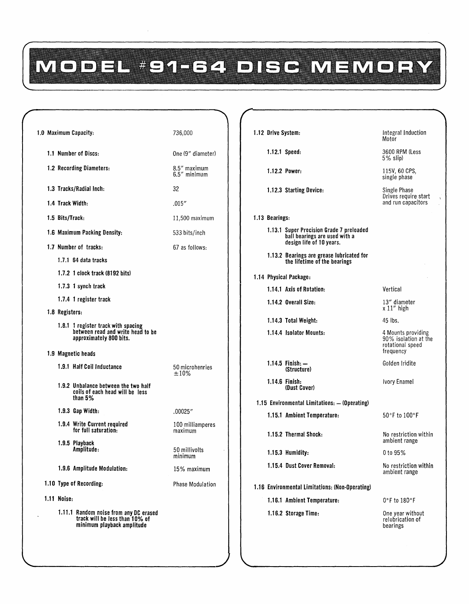# MODEL #91-64 DISC MEMORY

| 1.0 Maximum Capacity:                                                                                  | 736,000                      | 1.12 Drive System:                                                                                    | Integral Induction<br>Motor                                    |  |  |
|--------------------------------------------------------------------------------------------------------|------------------------------|-------------------------------------------------------------------------------------------------------|----------------------------------------------------------------|--|--|
| 1.1 Number of Discs:                                                                                   | One (9" diameter)            | $1.12.1$ Speed:                                                                                       | 3600 RPM (Less<br>$5\%$ slip)                                  |  |  |
| 1.2 Recording Diameters:                                                                               | 8.5" maximum<br>6.5" minimum | 1.12.2 Power:                                                                                         | 115V, 60 CPS,<br>single phase                                  |  |  |
| 1.3 Tracks/Radial Inch:                                                                                | 32                           | 1.12.3 Starting Device:                                                                               | Single Phase<br>Drives require start                           |  |  |
| 1.4 Track Width:                                                                                       | .015''                       |                                                                                                       | and run capacitors                                             |  |  |
| 1.5 Bits/Track:                                                                                        | $11,500$ maximum             | 1.13 Bearings:                                                                                        |                                                                |  |  |
| 1.6 Maximum Packing Density:                                                                           | 533 bits/inch                | 1.13.1 Super Precision Grade 7 preloaded<br>ball bearings are used with a<br>design life of 10 years. |                                                                |  |  |
| 1.7 Number of tracks:                                                                                  | 67 as follows:               | 1.13.2 Bearings are grease lubricated for                                                             |                                                                |  |  |
| $1.7.1\;64$ data tracks                                                                                |                              | the lifetime of the bearings                                                                          |                                                                |  |  |
| 1.7.2 1 clock track (8192 bits)                                                                        |                              | 1.14 Physical Package:                                                                                |                                                                |  |  |
| 1.7.3 1 synch track                                                                                    |                              | 1.14.1 Axis of Rotation:                                                                              | Vertical                                                       |  |  |
| 1.7.4 1 register track                                                                                 |                              | 1.14.2 Overall Size:                                                                                  | 13" diameter<br>$x 11''$ high                                  |  |  |
| 1.8 Registers:                                                                                         |                              | 1.14.3 Total Weight:                                                                                  | 45 lbs.                                                        |  |  |
| 1.8.1 1 register track with spacing<br>between read and write head to be<br>approximately 800 bits.    |                              | 1.14.4 Isolator Mounts:                                                                               | 4 Mounts providing<br>90% isolation at the<br>rotational speed |  |  |
| 1.9 Magnetic heads                                                                                     |                              |                                                                                                       | frequency                                                      |  |  |
| 1.9.1 Half Coil Inductance                                                                             | 50 microhenries<br>±10%      | $1.14.5$ Finish: $-$<br>(Structure)                                                                   | Golden Iridite                                                 |  |  |
| 1.9.2 Unbalance between the two half<br>coils of each head will be less<br>than $5%$                   |                              | $1.14.6$ Finish:<br>(Dust Cover)                                                                      | Ivory Enamel                                                   |  |  |
| $1.9.3$ Gap Width:                                                                                     | .00025"                      | 1.15 Environmental Limitations: - (Operating)                                                         |                                                                |  |  |
| 1.9.4 Write Current required                                                                           | 100 milliamperes             | 1.15.1 Ambient Temperature:                                                                           | 50°F to 100°F                                                  |  |  |
| for full saturation:<br>1.9.5 Playback                                                                 | maximum                      | 1.15.2 Thermal Shock:                                                                                 | No restriction within<br>ambient range                         |  |  |
| Amplitude:                                                                                             | 50 millivolts<br>minimum     | 1.15.3 Humidity:                                                                                      | 0 to 95%                                                       |  |  |
| 1.9.6 Amplitude Modulation:                                                                            | 15% maximum                  | 1.15.4 Dust Cover Removal:                                                                            | No restriction within<br>ambient range                         |  |  |
| 1.10 Type of Recording:                                                                                | <b>Phase Modulation</b>      | 1.16 Environmental Limitations: (Non-Operating)                                                       |                                                                |  |  |
| 1.11 Noise:                                                                                            |                              | 1.16.1 Ambient Temperature:                                                                           | O°F to 180°F                                                   |  |  |
| 1.11.1 Random noise from any DC erased<br>track will be less than 10% of<br>minimum playback amplitude |                              | 1.16.2 Storage Time:                                                                                  | One year without<br>relubrication of<br>bearings               |  |  |
|                                                                                                        |                              |                                                                                                       |                                                                |  |  |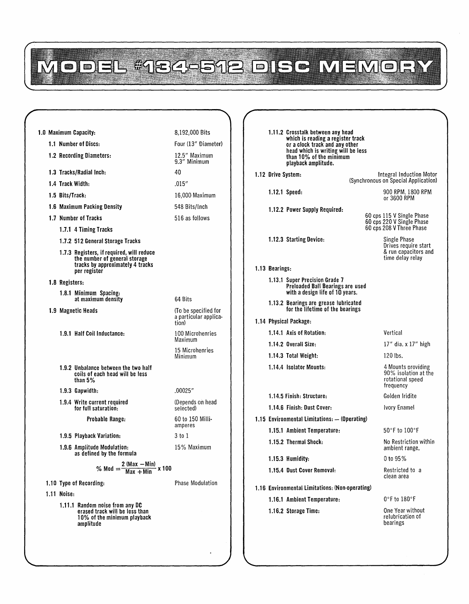## MODEL #184-512 DISC MEMORY

#### 8,192,000 Bits 1.11.2 Crosstalk between any head 1.0 Maximum Capacity: which is reading a register track 1.1 Number of Discs: Four (13" Diameter) or a clock track and any other head which is writing will be less 1.2 Recording Diameters: 12.5" Maximum than 10% of the minimum 9.3" Minimum playback amplitude. 1.3 Tracks/Radial Inch: 40 1.12 Drive System: Integral Induction Motor (Synchronous on Special Application) 1.4 Track Width: .015" 1.12.1 Speed: 900 RPM, 1800 RPM 1.5 Bits/Track: 16,000 Maximum or 3600 RPM 1.6 Maximum Packing Density 548 Bits/Inch 1.12.2 Power Supply Required: 60 cps 115 V Single Phase 1.7 Number of Tracks 516 as follows 60 cps 220 V Single Phase 60 cps 208 V Three Phase 1.7.1 4 Timing Tracks 1.12.3 Starting Device: Single Phase 1.7.2 512 General Storage Tracks Drives require start 1.7.3 Registers, ifrequired, will reduce & run capacitors and time delay relay the number of general storage tracks by approximately 4 tracks 1.13 Bearings: per register 1.13.1 Super Precision Grade 7 1.B Registers: Preloaded Ball Bearings are used 1.B.l Minimum Spacing: with a design life of 10 years. 64 Bits at maximum density 1.13.2 Bearings are grease lubricated for the lifetime of the bearings (To be specified for 1.9 Magnetic Heads a particular applica· 1.14 Physical Package: tion) 1.14.1 Axis of Rotation: Vertical 1.9.1 Half Coil Inductance: 100 Microhenries Maximum 1.14.2 Overall Size: 17" dia. x 17" high 15 Microhenries Minimum 1.14.3 Total Weight: 120 Ibs. 4 Mounts providing 1.9.2 Unbalance between the two half 1.14.4 Isolator Mounts: 90% isolation at the coils of each head will be less than 5% rotational speed frequency .00025" 1.9.3 Gapwidth: 1.14.5 Finish: Structure: Golden Iridite 1.9.4 Write current required (Depends on head for full saturation: selected) 1.14.6 Finish: Dust Cover: Ivory Enamel 60 to 150 Milli-Probable Range: 1.15 Environmental Limitations: - (Operating) amperes 1.15.1 Ambient Temperature: 50°F to 100°F 1.9.5 Playback Variation: 3 to 1 1.15.2 Thermal Shock: No Restriction within 1.9.6 Amplitude Modulation: 15% Maximum ambient range. as defined by the formula 1.15.3 Humidity: D to 95% % Mod  $=\frac{2 \text{ (max } - \text{min})}{\text{Max } + \text{Min}}$  x 100 Restricted to a 1.15.4 Dust Cover Removal: clean area 1.10 Type of Recording: Phase Modulation 1.16 Environmental Limitations: (Non-operating) 1.11 Noise: 0°F to 180°F 1.16.1 Ambient Temperature: 1.11.1 Random noise from any DC One Year without 1.16.2 Storage Time: erased track will be less than relubrication of 10% of the minimum playback amplitude bearings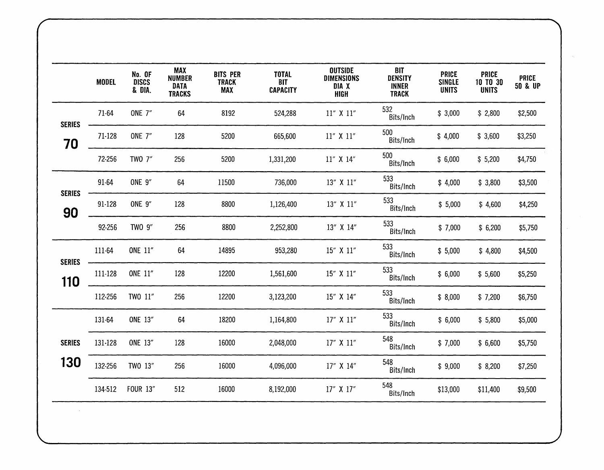|                      | <b>MODEL</b> | No. OF<br><b>DISCS</b><br>& DIA. | <b>MAX</b><br><b>NUMBER</b><br><b>DATA</b><br><b>TRACKS</b> | <b>BITS PER</b><br><b>TRACK</b><br><b>MAX</b> | <b>TOTAL</b><br><b>BIT</b><br><b>CAPACITY</b> | <b>OUTSIDE</b><br><b>DIMENSIONS</b><br>DIA X<br><b>HIGH</b> | <b>BIT</b><br><b>DENSITY</b><br><b>INNER</b><br><b>TRACK</b> | <b>PRICE</b><br><b>SINGLE</b><br><b>UNITS</b> | <b>PRICE</b><br>10 TO 30<br><b>UNITS</b> | <b>PRICE</b><br>50 & UP |
|----------------------|--------------|----------------------------------|-------------------------------------------------------------|-----------------------------------------------|-----------------------------------------------|-------------------------------------------------------------|--------------------------------------------------------------|-----------------------------------------------|------------------------------------------|-------------------------|
| <b>SERIES</b>        | 71-64        | <b>ONE 7"</b>                    | 64                                                          | 8192                                          | 524,288                                       | 11" X 11"                                                   | 532<br>Bits/Inch                                             | \$3,000                                       | \$2,800                                  | \$2,500                 |
| 70                   | 71-128       | <b>ONE 7"</b>                    | 128                                                         | 5200                                          | 665,600                                       | 11" X 11"                                                   | 500<br>Bits/Inch                                             | \$4,000                                       | \$3,600                                  | \$3,250                 |
|                      | 72-256       | TWO 7"                           | 256                                                         | 5200                                          | 1,331,200                                     | 11" X 14"                                                   | 500<br>Bits/Inch                                             | \$6,000                                       | \$5,200                                  | \$4,750                 |
| <b>SERIES</b>        | 91-64        | <b>ONE 9"</b>                    | 64                                                          | 11500                                         | 736,000                                       | 13" X 11"                                                   | 533<br>Bits/Inch                                             | \$4,000                                       | \$3,800                                  | \$3,500                 |
| 90                   | 91-128       | <b>ONE 9"</b>                    | 128                                                         | 8800                                          | 1,126,400                                     | 13" X 11"                                                   | 533<br>Bits/Inch                                             | \$5,000                                       | \$4,600                                  | \$4,250                 |
|                      | 92-256       | TWO 9"                           | 256                                                         | 8800                                          | 2,252,800                                     | 13" X 14"                                                   | 533<br>Bits/Inch                                             | \$7,000                                       | \$6,200                                  | \$5,750                 |
|                      | 111-64       | ONE 11"                          | 64                                                          | 14895                                         | 953,280                                       | 15" X 11"                                                   | 533<br>Bits/Inch                                             | \$5,000                                       | \$4,800                                  | \$4,500                 |
| <b>SERIES</b><br>110 | 111-128      | <b>ONE 11"</b>                   | 128                                                         | 12200                                         | 1,561,600                                     | 15" X 11"                                                   | 533<br>Bits/Inch                                             | \$6,000                                       | \$5,600                                  | \$5,250                 |
|                      | 112-256      | TWO 11"                          | 256                                                         | 12200                                         | 3,123,200                                     | 15" X 14"                                                   | 533<br>Bits/Inch                                             | \$8,000                                       | \$7,200                                  | \$6,750                 |
|                      | 131-64       | ONE 13"                          | 64                                                          | 18200                                         | 1,164,800                                     | 17" X 11"                                                   | 533<br>Bits/Inch                                             | \$6,000                                       | \$5,800                                  | \$5,000                 |
| <b>SERIES</b>        | 131-128      | <b>ONE 13"</b>                   | 128                                                         | 16000                                         | 2,048,000                                     | 17" X 11"                                                   | 548<br>Bits/Inch                                             | \$7,000                                       | \$6,600                                  | \$5,750                 |
| 130                  | 132-256      | TWO 13"                          | 256                                                         | 16000                                         | 4,096,000                                     | 17" X 14"                                                   | 548<br>Bits/Inch                                             | \$9,000                                       | \$8,200                                  | \$7,250                 |
|                      | 134-512      | <b>FOUR 13"</b>                  | 512                                                         | 16000                                         | 8,192,000                                     | 17" X 17"                                                   | 548<br>Bits/Inch                                             | \$13,000                                      | \$11,400                                 | \$9,500                 |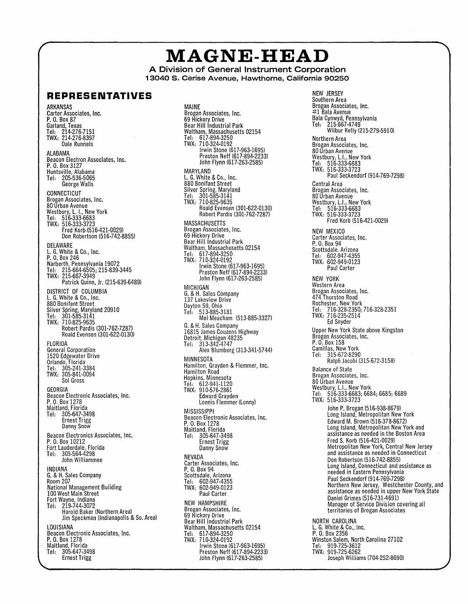## **MAGNE-HEAD**

**A Division of General Instrument Corporation 13040 S. Cerise Avenue, Hawthorne, California 90250** 

#### **REPRESENTATIVES**

ARKANSAS Carter Associates, Inc. P. O. Box 87 Garland, Texas Tel: 214·276·7151 TWX: 214·276·8397 Dale Runnels ALABAMA Beacon Electron Associates, Inc. P. O. Box 3127 Huntsville, Alabama Tel: 205·536·5065 George Walls CONNECTICUT Brogan Associates, Inc. 80 Urban Avenue Westbury, L. I., New York Tel: 516·333·6683 TWX: 516·333·3723 Fred Korb (516·421·0029) Don Robe rtson (516·742·8855) DELAWARE L. G. White & Co., Inc. P. O. Box 246 Narberth, Pennsylvania 19072 Tel: 215·664·6505; 215·839·3445 TWX: 215-667·3949 Patrick Quinn, Jr. (215-639·6489) DISTRICI OF COLUMBIA<br>L. G. White & Co., Inc. 880 Bonifant Street Silver Spring, Maryland 20910 Tel: 301·585·3141 TWX: 71 0-825·9635 Robert Pardis (301·762·7287) Roald Evensen (301·622·0130) FLORIDA General Corporation 1520 Edgewater Drive Orlando, Florida Tel: 305·241-3384 TWX: 305·841·0094 Sol Gross GEORGIA Beacon Electronic Associates, Inc. P. O. Box 1278 Maitland, Florida Tel: 305·647-3498 Ernest Trigg Danny Snow Beacon Electronics Associates, Inc. P. O. Box 10212 Fort Lauderdale, Florida Tel: 305-564-4298 John Williammee INDIANA<br>G. & H. Sales Company<br>Room 207 National Management Building 100 West Main Street Fort Wayne, Indiana Tel: 219·744-3072 Harold Baker (Northern Area) Jim Speckman (Indianapolis & So. Area) LOUISIANA Beacon Electronic Associates, Inc. P. O. Box 1278 Maitland, Florida Tel: 305·647-3498 Ernest Trigg

MAINE Brogan Associates, Inc. 69 Hickory Drive Bear Hill Industrial Park Waltham, Massachusetts 02154 Tel: 617·894·3250 TWX: 710·324·0192 Irwin Stone (617·963·1695) Preston Neff (617·894·2233) John Flynn (617·263·2585) MARYLAND L. G. White & Co., Inc. 880 Bonifant Street Silver Spring, Maryland Tel: 301·585·3141 TWX: 710·825·9635 Roald Evensen (301·622·0130) Robert Pardis (301·762·7287) MASSACHUSETTS Brogan Associates, Inc. 69 Hickory Drive Bear Hill Industrial Park Waltham, Massachusetts 02154 Tel: 617·894·3250 TWX: 710·324·0192 Irwin Stone (617·963·1695) Preston Neff (617·894·2233) John Flynn (617·263·2585) MICHIGAN G. & H. Sales Company 137 Lakeview Drive Dayton 59, Ohio<br>Tel: 513-885-3181 Mel Meacham (513-885·3327) G. & H. Sales Company 16815 James Couzens Highway Detroit, Michigan 48235 Tel: 313·342·4747 Alex Blumberg (313·341·5744) MINNESOTA Hamilton, Grayden & Flemmer, Inc. Hamilton Road Hopkins, Minnesota Tel: 612-941·1120 TWX: 910-576·2861 Edward Grayden Lonnis Flemmer (Lonny) **MISSISSIPPI** Beacon Electronic Associates, Inc. P. O. Box 1278 Maitland, Florida Tel: 305·647·3498 Ernest Trigg Danny Snow NEVADA Carter Associates, Inc. P. O. Box 94 Scottsdale, Arizona Tel: 602·947·4355 TWX: 602·949-0123 Paul Carter NEW HAMPSHIRE Brogan Associates, Inc.<br>69 Hickory Drive<br>Bear Hill Industrial Park Waltham, Massachusetts 02154 Tel: 617·894·3250 TWX: 710·324·0192 Irwin Stone (617·963·1695) Preston Neff (617·894·2233) John Flynn (617·263·2585)

NEW JERSEY Southern Area Brogan Associates, Inc. #1 Bala Avenue Bala Cynwyd, Pennsylvania Tel: 215-667·4749 Wilbur Kelly (215·279·591 Q) Northern Area Brogan Associates, Inc. 80 Urban Avenue Westbury, L.I., New York Tel: 516·333·6683 TWX: 516·333·3723 Paul Seckendorf (914·769·7298) Central Area Brogan Associates, Inc. 80 Urban Avenue Westbury, L.I., New York Tel: 516·333·6683 TWX: 516·333·3723 Fred Korb (516·421·0029) NEW MEXICO Carter Associates, Inc. P. O. Box 94 Scottsdale. Arizona Tei: 602-947·4355 TWX: 602·949·0123 Paul Carter NEW YORK Western Area Brogan Associates, Inc. 474 Thurston Road Rochester, New York Tel: 716-328-2350; 716-328-2351 TWX: 716-235-2514 Ed Snyder Upper New York State above Kingston Brogan Associates, Inc. P. O. Box 158 Camillas, New York<br>Tel: 315-672-8290 Tel: 315-672-8290 Ralph Jacobi (315-672·3158) Balance of State Brogan Associates, Inc. 80 Urban Avenue Westbury, L.I., New York Tel: 516·333-6683; 6684; 6685; 6689 TWX: 516·333-3723 John P. Brogan (516·938-8679) Long Island, Metropolitan New York Edward M. Brown (516-378·8672) Long Island, Metropolitan New York and assistance as needed in the Boston Area Fred S. Korb (516-421·0029) Metropolitan New York, Central New Jersey and assistance as needed in Connecticut Don Robertson (516·742·8855) Long Island, Connecticut and assistance as needed in Eastern Pennsylvania Paul Seckendorf (914·769·7298) Northern New Jersey, Westchester County, and assistance as needed in upper New York State Daniel Grimes (516·731·4691) Manager of Service Division covering all territories of Brogan Associates NORTH CAROLINA L. G. White & Co., Inc. P. O. Box 2356 Winston Salem, North Carolina 27102 Tel: 919·725·3612

- TWX: 919·725-6262
	- Joseph Williams (704·252·8690)